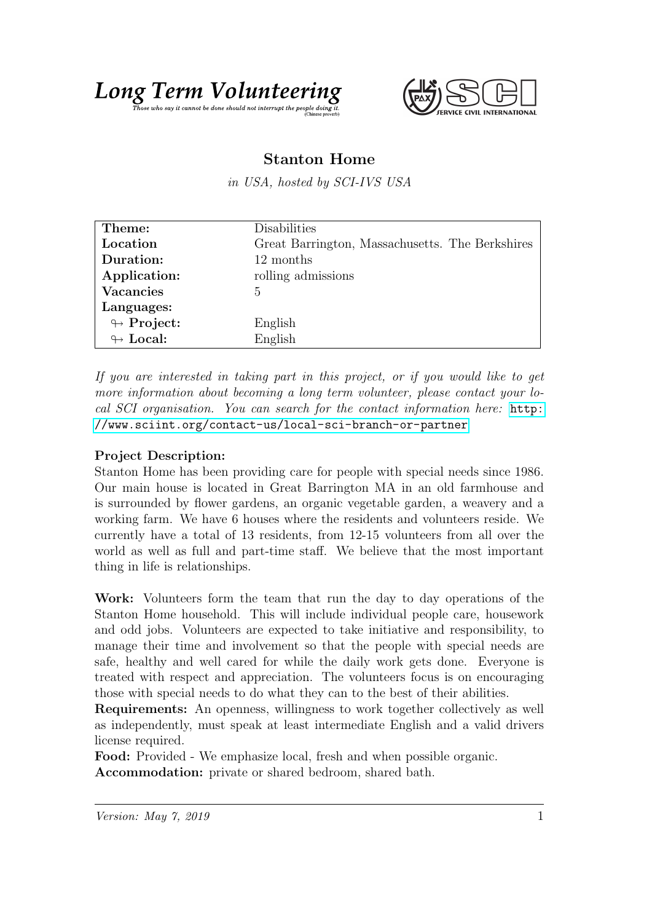

## Stanton Home

in USA, hosted by SCI-IVS USA

| Theme:                     | Disabilities                                    |
|----------------------------|-------------------------------------------------|
| Location                   | Great Barrington, Massachusetts. The Berkshires |
| Duration:                  | 12 months                                       |
| Application:               | rolling admissions                              |
| <b>Vacancies</b>           | 5                                               |
| Languages:                 |                                                 |
| $\looparrowright$ Project: | English                                         |
| $\leftrightarrow$ Local:   | English                                         |

If you are interested in taking part in this project, or if you would like to get more information about becoming a long term volunteer, please contact your local SCI organisation. You can search for the contact information here: [http:](http://www.sciint.org/contact-us/local-sci-branch-or-partner) [//www.sciint.org/contact-us/local-sci-branch-or-partner](http://www.sciint.org/contact-us/local-sci-branch-or-partner)

## Project Description:

Stanton Home has been providing care for people with special needs since 1986. Our main house is located in Great Barrington MA in an old farmhouse and is surrounded by flower gardens, an organic vegetable garden, a weavery and a working farm. We have 6 houses where the residents and volunteers reside. We currently have a total of 13 residents, from 12-15 volunteers from all over the world as well as full and part-time staff. We believe that the most important thing in life is relationships.

Work: Volunteers form the team that run the day to day operations of the Stanton Home household. This will include individual people care, housework and odd jobs. Volunteers are expected to take initiative and responsibility, to manage their time and involvement so that the people with special needs are safe, healthy and well cared for while the daily work gets done. Everyone is treated with respect and appreciation. The volunteers focus is on encouraging those with special needs to do what they can to the best of their abilities.

Requirements: An openness, willingness to work together collectively as well as independently, must speak at least intermediate English and a valid drivers license required.

Food: Provided - We emphasize local, fresh and when possible organic. Accommodation: private or shared bedroom, shared bath.